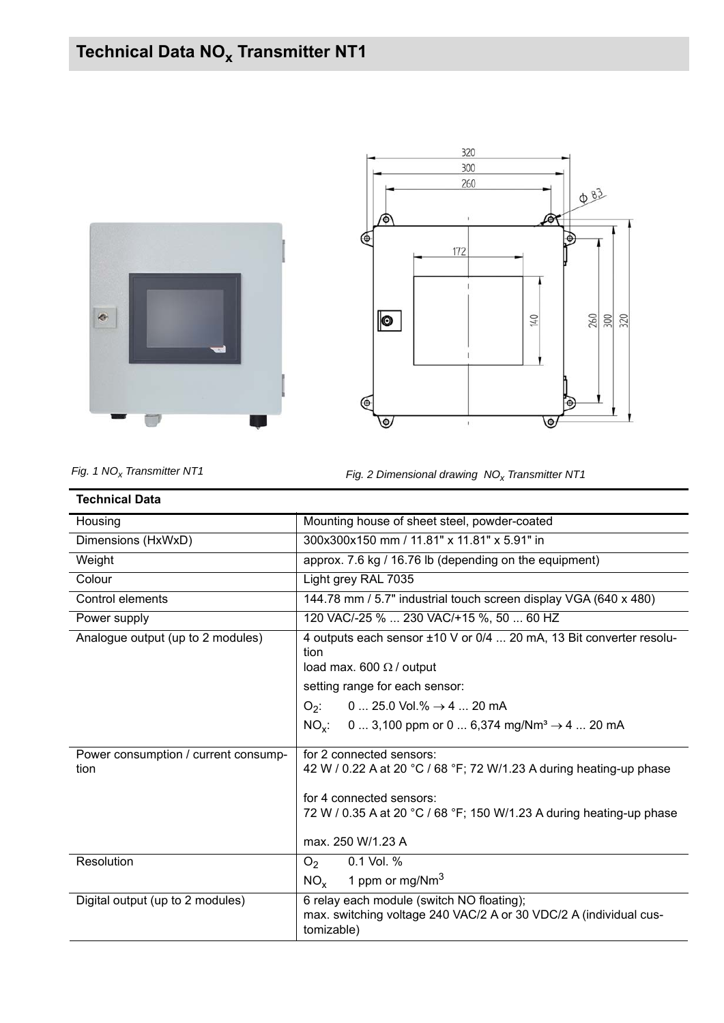## **Technical Data NO<sub>x</sub> Transmitter NT1**





*Fig. 1 NO<sub>x</sub> Transmitter NT1 Fig. 2 Dimensional drawing NO<sub>x</sub> Transmitter NT1* 

| <b>Technical Data</b>                        |                                                                                                                                                                                                                                                                                      |
|----------------------------------------------|--------------------------------------------------------------------------------------------------------------------------------------------------------------------------------------------------------------------------------------------------------------------------------------|
| Housing                                      | Mounting house of sheet steel, powder-coated                                                                                                                                                                                                                                         |
| Dimensions (HxWxD)                           | 300x300x150 mm / 11.81" x 11.81" x 5.91" in                                                                                                                                                                                                                                          |
| Weight                                       | approx. 7.6 kg / 16.76 lb (depending on the equipment)                                                                                                                                                                                                                               |
| Colour                                       | Light grey RAL 7035                                                                                                                                                                                                                                                                  |
| Control elements                             | 144.78 mm / 5.7" industrial touch screen display VGA (640 x 480)                                                                                                                                                                                                                     |
| Power supply                                 | 120 VAC/-25 %  230 VAC/+15 %, 50  60 HZ                                                                                                                                                                                                                                              |
| Analogue output (up to 2 modules)            | 4 outputs each sensor ±10 V or 0/4  20 mA, 13 Bit converter resolu-<br>tion<br>load max. 600 $\Omega$ / output<br>setting range for each sensor:<br>$O_2$ : 0  25.0 Vol.% $\rightarrow$ 4  20 mA<br>0  3,100 ppm or 0  6,374 mg/Nm <sup>3</sup> $\rightarrow$ 4  20 mA<br>$NO_{x}$ : |
| Power consumption / current consump-<br>tion | for 2 connected sensors:<br>42 W / 0.22 A at 20 °C / 68 °F; 72 W/1.23 A during heating-up phase<br>for 4 connected sensors:<br>72 W / 0.35 A at 20 °C / 68 °F; 150 W/1.23 A during heating-up phase<br>max. 250 W/1.23 A                                                             |
| Resolution                                   | 0.1 Vol. %<br>O <sub>2</sub><br>1 ppm or mg/Nm <sup>3</sup><br>$NO_{x}$                                                                                                                                                                                                              |
| Digital output (up to 2 modules)             | 6 relay each module (switch NO floating);<br>max. switching voltage 240 VAC/2 A or 30 VDC/2 A (individual cus-<br>tomizable)                                                                                                                                                         |